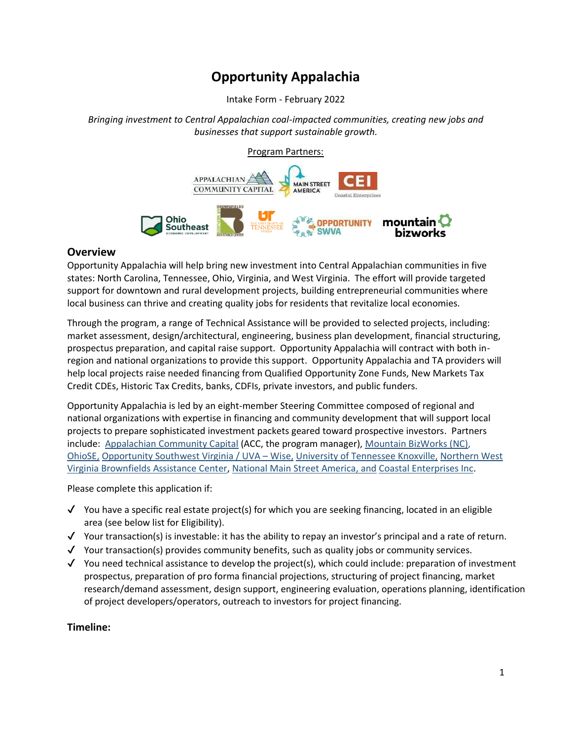# **Opportunity Appalachia**

Intake Form - February 2022

*Bringing investment to Central Appalachian coal-impacted communities, creating new jobs and businesses that support sustainable growth.*

Program Partners:



## **Overview**

Opportunity Appalachia will help bring new investment into Central Appalachian communities in five states: North Carolina, Tennessee, Ohio, Virginia, and West Virginia. The effort will provide targeted support for downtown and rural development projects, building entrepreneurial communities where local business can thrive and creating quality jobs for residents that revitalize local economies.

Through the program, a range of Technical Assistance will be provided to selected projects, including: market assessment, design/architectural, engineering, business plan development, financial structuring, prospectus preparation, and capital raise support. Opportunity Appalachia will contract with both inregion and national organizations to provide this support. Opportunity Appalachia and TA providers will help local projects raise needed financing from Qualified Opportunity Zone Funds, New Markets Tax Credit CDEs, Historic Tax Credits, banks, CDFIs, private investors, and public funders.

Opportunity Appalachia is led by an eight-member Steering Committee composed of regional and national organizations with expertise in financing and community development that will support local projects to prepare sophisticated investment packets geared toward prospective investors. Partners include: [Appalachian Community Capital](http://appalachiancommunitycapitalcdfi.org/) (ACC, the program manager), [Mountain BizWorks \(NC\),](https://www.mountainbizworks.org/) [OhioSE,](https://ohiose.com/) [Opportunity Southwest Virginia / UVA](http://www.opportunityswva.org/) – Wise, [University of Tennessee Knoxville,](https://www.utk.edu/) [Northern West](https://wvbrownfields.org/)  [Virginia Brownfields Assistance Center,](https://wvbrownfields.org/) [National Main Street America,](https://www.mainstreet.org/mainstreetamerica/theprograms) and [Coastal Enterprises Inc.](https://www.ceimaine.org/)

Please complete this application if:

- $\checkmark$  You have a specific real estate project(s) for which you are seeking financing, located in an eligible area (see below list for Eligibility).
- ✔ Your transaction(s) is investable: it has the ability to repay an investor's principal and a rate of return.
- $\checkmark$  Your transaction(s) provides community benefits, such as quality jobs or community services.
- $\checkmark$  You need technical assistance to develop the project(s), which could include: preparation of investment prospectus, preparation of pro forma financial projections, structuring of project financing, market research/demand assessment, design support, engineering evaluation, operations planning, identification of project developers/operators, outreach to investors for project financing.

## **Timeline:**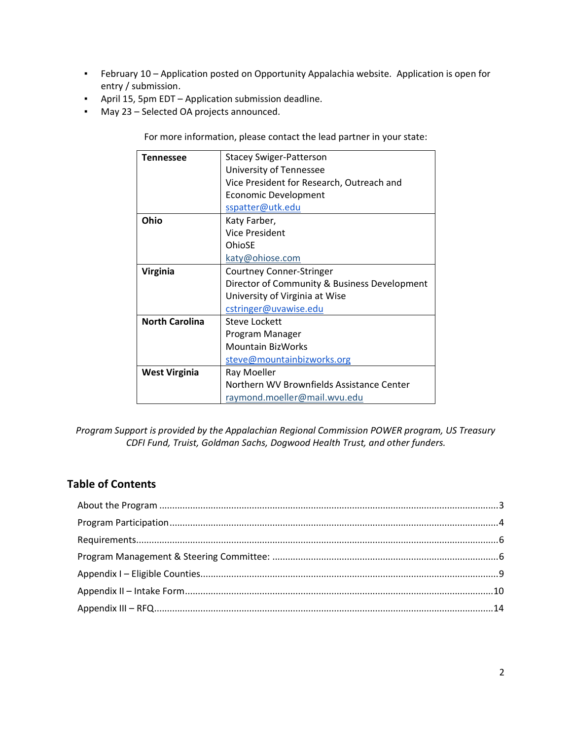- **•** February 10 Application posted on Opportunity Appalachia website. Application is open for entry / submission.
- April 15, 5pm EDT Application submission deadline.
- May 23 Selected OA projects announced.

For more information, please contact the lead partner in your state:

| <b>Tennessee</b>      | <b>Stacey Swiger-Patterson</b>               |  |
|-----------------------|----------------------------------------------|--|
|                       | University of Tennessee                      |  |
|                       | Vice President for Research, Outreach and    |  |
|                       | <b>Economic Development</b>                  |  |
|                       | sspatter@utk.edu                             |  |
| Ohio                  | Katy Farber,                                 |  |
|                       | <b>Vice President</b>                        |  |
|                       | OhioSE                                       |  |
|                       | katy@ohiose.com                              |  |
| <b>Virginia</b>       | <b>Courtney Conner-Stringer</b>              |  |
|                       | Director of Community & Business Development |  |
|                       | University of Virginia at Wise               |  |
|                       | cstringer@uvawise.edu                        |  |
| <b>North Carolina</b> | Steve Lockett                                |  |
|                       | Program Manager                              |  |
|                       | <b>Mountain BizWorks</b>                     |  |
|                       | steve@mountainbizworks.org                   |  |
| <b>West Virginia</b>  | Ray Moeller                                  |  |
|                       | Northern WV Brownfields Assistance Center    |  |
|                       | raymond.moeller@mail.wvu.edu                 |  |

*Program Support is provided by the Appalachian Regional Commission POWER program, US Treasury CDFI Fund, Truist, Goldman Sachs, Dogwood Health Trust, and other funders.*

## **Table of Contents**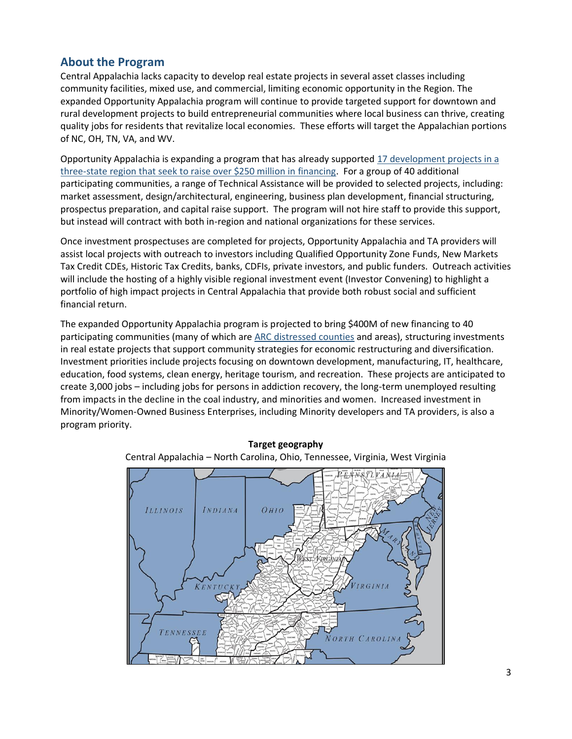## <span id="page-2-0"></span>**About the Program**

Central Appalachia lacks capacity to develop real estate projects in several asset classes including community facilities, mixed use, and commercial, limiting economic opportunity in the Region. The expanded Opportunity Appalachia program will continue to provide targeted support for downtown and rural development projects to build entrepreneurial communities where local business can thrive, creating quality jobs for residents that revitalize local economies. These efforts will target the Appalachian portions of NC, OH, TN, VA, and WV.

Opportunity Appalachia is expanding a program that has already supported [17 development projects in a](https://appalachiancommunitycapitalcdfi.org/oa-program/)  [three-state region that seek to raise over \\$250 million in financing.](https://appalachiancommunitycapitalcdfi.org/oa-program/) For a group of 40 additional participating communities, a range of Technical Assistance will be provided to selected projects, including: market assessment, design/architectural, engineering, business plan development, financial structuring, prospectus preparation, and capital raise support. The program will not hire staff to provide this support, but instead will contract with both in-region and national organizations for these services.

Once investment prospectuses are completed for projects, Opportunity Appalachia and TA providers will assist local projects with outreach to investors including Qualified Opportunity Zone Funds, New Markets Tax Credit CDEs, Historic Tax Credits, banks, CDFIs, private investors, and public funders. Outreach activities will include the hosting of a highly visible regional investment event (Investor Convening) to highlight a portfolio of high impact projects in Central Appalachia that provide both robust social and sufficient financial return.

The expanded Opportunity Appalachia program is projected to bring \$400M of new financing to 40 participating communities (many of which are [ARC distressed counties](https://www.arc.gov/appalachian_region/CountyEconomicStatusandDistressedAreasinAppalachia.asp) and areas), structuring investments in real estate projects that support community strategies for economic restructuring and diversification. Investment priorities include projects focusing on downtown development, manufacturing, IT, healthcare, education, food systems, clean energy, heritage tourism, and recreation. These projects are anticipated to create 3,000 jobs – including jobs for persons in addiction recovery, the long-term unemployed resulting from impacts in the decline in the coal industry, and minorities and women. Increased investment in Minority/Women-Owned Business Enterprises, including Minority developers and TA providers, is also a program priority.



**Target geography**  Central Appalachia – North Carolina, Ohio, Tennessee, Virginia, West Virginia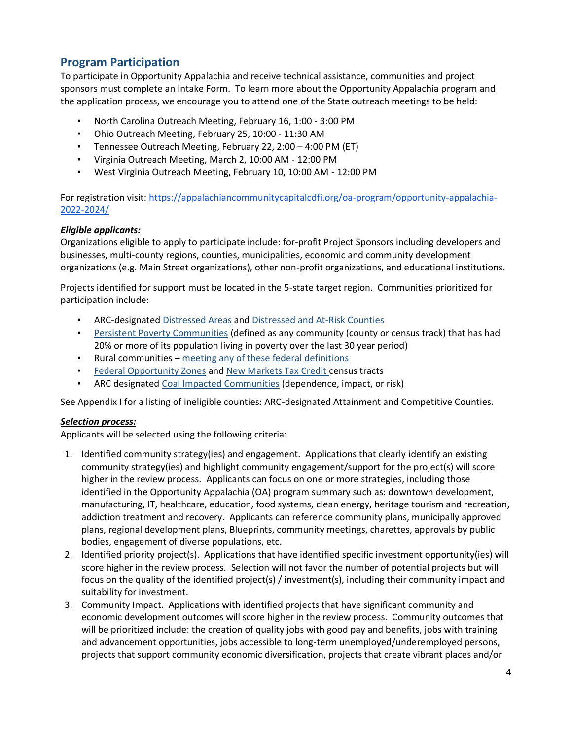## <span id="page-3-0"></span>**Program Participation**

To participate in Opportunity Appalachia and receive technical assistance, communities and project sponsors must complete an Intake Form. To learn more about the Opportunity Appalachia program and the application process, we encourage you to attend one of the State outreach meetings to be held:

- North Carolina Outreach Meeting, February 16, 1:00 3:00 PM
- Ohio Outreach Meeting, February 25, 10:00 11:30 AM
- Tennessee Outreach Meeting, February 22, 2:00 4:00 PM (ET)
- Virginia Outreach Meeting, March 2, 10:00 AM 12:00 PM
- West Virginia Outreach Meeting, February 10, 10:00 AM 12:00 PM

For registration visit: [https://appalachiancommunitycapitalcdfi.org/oa-program/opportunity-appalachia-](https://appalachiancommunitycapitalcdfi.org/oa-program/opportunity-appalachia-2022-2024/)[2022-2024/](https://appalachiancommunitycapitalcdfi.org/oa-program/opportunity-appalachia-2022-2024/)

#### *Eligible applicants:*

Organizations eligible to apply to participate include: for-profit Project Sponsors including developers and businesses, multi-county regions, counties, municipalities, economic and community development organizations (e.g. Main Street organizations), other non-profit organizations, and educational institutions.

Projects identified for support must be located in the 5-state target region. Communities prioritized for participation include:

- ARC-designated [Distressed Areas](https://www.arc.gov/county-economic-status-and-distressed-areas-by-state-fy-2022) and [Distressed and At-Risk Counties](https://www.arc.gov/classifying-economic-distress-in-appalachian-counties/)
- **•** [Persistent Poverty Communities](https://www.policymap.com/2015/03/persistent-poverty-on-a-neighborhood-scale/) (defined as any community (county or census track) that has had 20% or more of its population living in poverty over the last 30 year period)
- Rural communities [meeting any of these federal definitions](https://www.ers.usda.gov/topics/rural-economy-population/rural-classifications/)
- [Federal Opportunity Zones](https://eig.org/opportunityzones/facts-and-figures#sec3) and [New Markets Tax Credit c](https://www.cohnreznick.com/nmtc-map)ensus tracts
- ARC designated [Coal Impacted Communities](https://www.arc.gov/wp-content/uploads/2018/01/CIEDataFile2EconomicAnalysisOfAppalachianCoalIndustryEcosystem_Jan2018.xlsx) (dependence, impact, or risk)

See Appendix I for a listing of ineligible counties: ARC-designated Attainment and Competitive Counties.

#### *Selection process:*

Applicants will be selected using the following criteria:

- 1. Identified community strategy(ies) and engagement. Applications that clearly identify an existing community strategy(ies) and highlight community engagement/support for the project(s) will score higher in the review process. Applicants can focus on one or more strategies, including those identified in the Opportunity Appalachia (OA) program summary such as: downtown development, manufacturing, IT, healthcare, education, food systems, clean energy, heritage tourism and recreation, addiction treatment and recovery. Applicants can reference community plans, municipally approved plans, regional development plans, Blueprints, community meetings, charettes, approvals by public bodies, engagement of diverse populations, etc.
- 2. Identified priority project(s). Applications that have identified specific investment opportunity(ies) will score higher in the review process. Selection will not favor the number of potential projects but will focus on the quality of the identified project(s) / investment(s), including their community impact and suitability for investment.
- 3. Community Impact. Applications with identified projects that have significant community and economic development outcomes will score higher in the review process. Community outcomes that will be prioritized include: the creation of quality jobs with good pay and benefits, jobs with training and advancement opportunities, jobs accessible to long-term unemployed/underemployed persons, projects that support community economic diversification, projects that create vibrant places and/or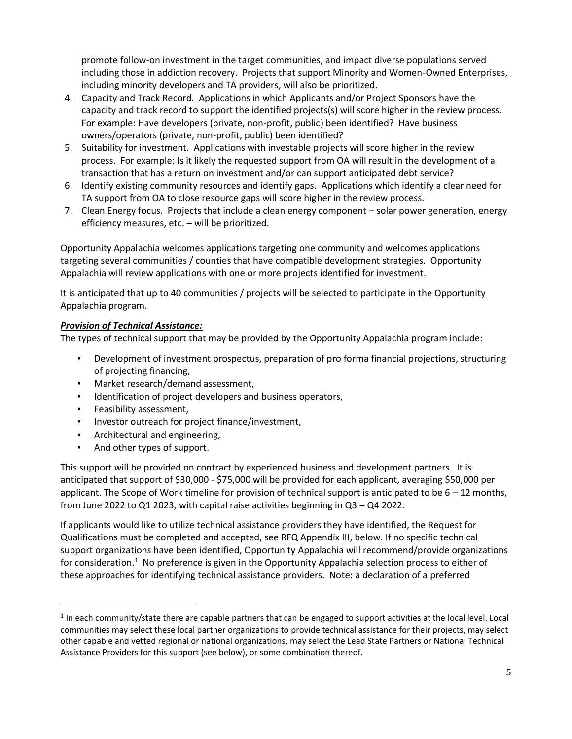promote follow-on investment in the target communities, and impact diverse populations served including those in addiction recovery. Projects that support Minority and Women-Owned Enterprises, including minority developers and TA providers, will also be prioritized.

- 4. Capacity and Track Record. Applications in which Applicants and/or Project Sponsors have the capacity and track record to support the identified projects(s) will score higher in the review process. For example: Have developers (private, non-profit, public) been identified? Have business owners/operators (private, non-profit, public) been identified?
- 5. Suitability for investment. Applications with investable projects will score higher in the review process. For example: Is it likely the requested support from OA will result in the development of a transaction that has a return on investment and/or can support anticipated debt service?
- 6. Identify existing community resources and identify gaps. Applications which identify a clear need for TA support from OA to close resource gaps will score higher in the review process.
- 7. Clean Energy focus. Projects that include a clean energy component solar power generation, energy efficiency measures, etc. – will be prioritized.

Opportunity Appalachia welcomes applications targeting one community and welcomes applications targeting several communities / counties that have compatible development strategies. Opportunity Appalachia will review applications with one or more projects identified for investment.

It is anticipated that up to 40 communities / projects will be selected to participate in the Opportunity Appalachia program.

### *Provision of Technical Assistance:*

The types of technical support that may be provided by the Opportunity Appalachia program include:

- Development of investment prospectus, preparation of pro forma financial projections, structuring of projecting financing,
- Market research/demand assessment,
- Identification of project developers and business operators,
- Feasibility assessment,
- Investor outreach for project finance/investment,
- Architectural and engineering,
- And other types of support.

This support will be provided on contract by experienced business and development partners. It is anticipated that support of \$30,000 - \$75,000 will be provided for each applicant, averaging \$50,000 per applicant. The Scope of Work timeline for provision of technical support is anticipated to be  $6 - 12$  months, from June 2022 to Q1 2023, with capital raise activities beginning in Q3 – Q4 2022.

If applicants would like to utilize technical assistance providers they have identified, the Request for Qualifications must be completed and accepted, see RFQ Appendix III, below. If no specific technical support organizations have been identified, Opportunity Appalachia will recommend/provide organizations for consideration.<sup>1</sup> No preference is given in the Opportunity Appalachia selection process to either of these approaches for identifying technical assistance providers. Note: a declaration of a preferred

 $<sup>1</sup>$  In each community/state there are capable partners that can be engaged to support activities at the local level. Local</sup> communities may select these local partner organizations to provide technical assistance for their projects, may select other capable and vetted regional or national organizations, may select the Lead State Partners or National Technical Assistance Providers for this support (see below), or some combination thereof.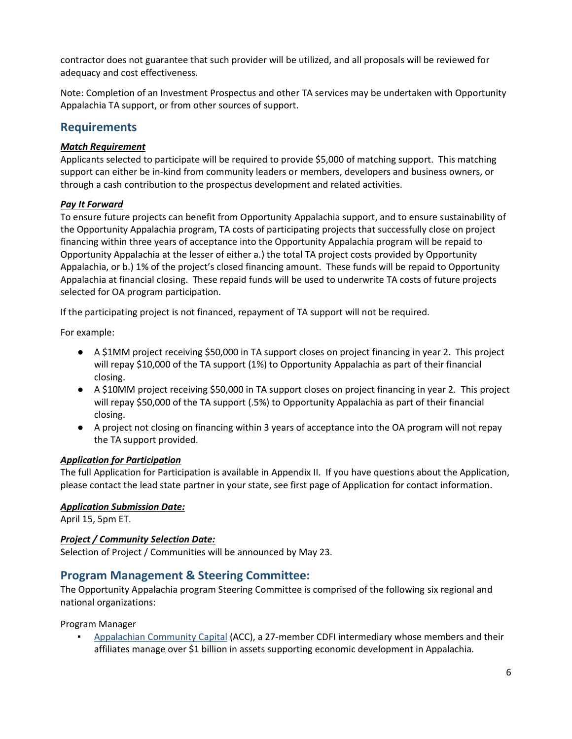contractor does not guarantee that such provider will be utilized, and all proposals will be reviewed for adequacy and cost effectiveness.

Note: Completion of an Investment Prospectus and other TA services may be undertaken with Opportunity Appalachia TA support, or from other sources of support.

## <span id="page-5-0"></span>**Requirements**

### *Match Requirement*

Applicants selected to participate will be required to provide \$5,000 of matching support. This matching support can either be in-kind from community leaders or members, developers and business owners, or through a cash contribution to the prospectus development and related activities.

### *Pay It Forward*

To ensure future projects can benefit from Opportunity Appalachia support, and to ensure sustainability of the Opportunity Appalachia program, TA costs of participating projects that successfully close on project financing within three years of acceptance into the Opportunity Appalachia program will be repaid to Opportunity Appalachia at the lesser of either a.) the total TA project costs provided by Opportunity Appalachia, or b.) 1% of the project's closed financing amount. These funds will be repaid to Opportunity Appalachia at financial closing. These repaid funds will be used to underwrite TA costs of future projects selected for OA program participation.

If the participating project is not financed, repayment of TA support will not be required.

For example:

- A \$1MM project receiving \$50,000 in TA support closes on project financing in year 2. This project will repay \$10,000 of the TA support (1%) to Opportunity Appalachia as part of their financial closing.
- A \$10MM project receiving \$50,000 in TA support closes on project financing in year 2. This project will repay \$50,000 of the TA support (.5%) to Opportunity Appalachia as part of their financial closing.
- A project not closing on financing within 3 years of acceptance into the OA program will not repay the TA support provided.

## *Application for Participation*

The full Application for Participation is available in Appendix II. If you have questions about the Application, please contact the lead state partner in your state, see first page of Application for contact information.

## *Application Submission Date:*

April 15, 5pm ET.

### *Project / Community Selection Date:*

Selection of Project / Communities will be announced by May 23.

## <span id="page-5-1"></span>**Program Management & Steering Committee:**

The Opportunity Appalachia program Steering Committee is comprised of the following six regional and national organizations:

Program Manager

▪ [Appalachian Community Capital](http://appalachiancommunitycapitalcdfi.org/) (ACC), a 27-member CDFI intermediary whose members and their affiliates manage over \$1 billion in assets supporting economic development in Appalachia.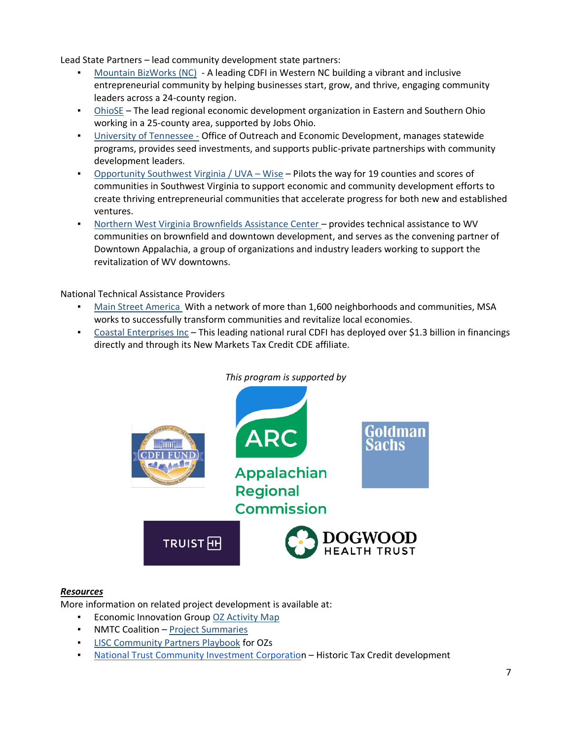Lead State Partners – lead community development state partners:

- [Mountain BizWorks \(NC\)](https://www.mountainbizworks.org/) A leading CDFI in Western NC building a vibrant and inclusive entrepreneurial community by helping businesses start, grow, and thrive, engaging community leaders across a 24-county region.
- [OhioSE](https://ohiose.com/) The lead regional economic development organization in Eastern and Southern Ohio working in a 25-county area, supported by Jobs Ohio.
- University of Tennessee Office of Outreach and Economic Development, manages statewide programs, provides seed investments, and supports public-private partnerships with community development leaders.
- [Opportunity Southwest Virginia / UVA](http://www.opportunityswva.org/)  Wise Pilots the way for 19 counties and scores of communities in Southwest Virginia to support economic and community development efforts to create thriving entrepreneurial communities that accelerate progress for both new and established ventures.
- [Northern West Virginia Brownfields Assistance Center](https://wvbrownfields.org/) provides technical assistance to WV communities on brownfield and downtown development, and serves as the convening partner of Downtown Appalachia, a group of organizations and industry leaders working to support the revitalization of WV downtowns.

National Technical Assistance Providers

- [Main Street America](https://www.mainstreet.org/mainstreetamerica/theprograms) With a network of more than 1,600 neighborhoods and communities, MSA works to successfully transform communities and revitalize local economies.
- [Coastal Enterprises Inc](https://www.ceimaine.org/) This leading national rural CDFI has deployed over \$1.3 billion in financings directly and through its New Markets Tax Credit CDE affiliate.



#### *Resources*

More information on related project development is available at:

- Economic Innovation Group [OZ Activity Map](https://eig.org/oz-activity-map)
- **NMTC Coalition [Project Summaries](https://nmtccoalition.org/projects/)**
- [LISC Community Partners Playbook](http://www.lisc.org/opportunity-zones/community-partners-playbook/) for OZs
- [National Trust Community Investment Corporation](https://ntcic.com/) Historic Tax Credit development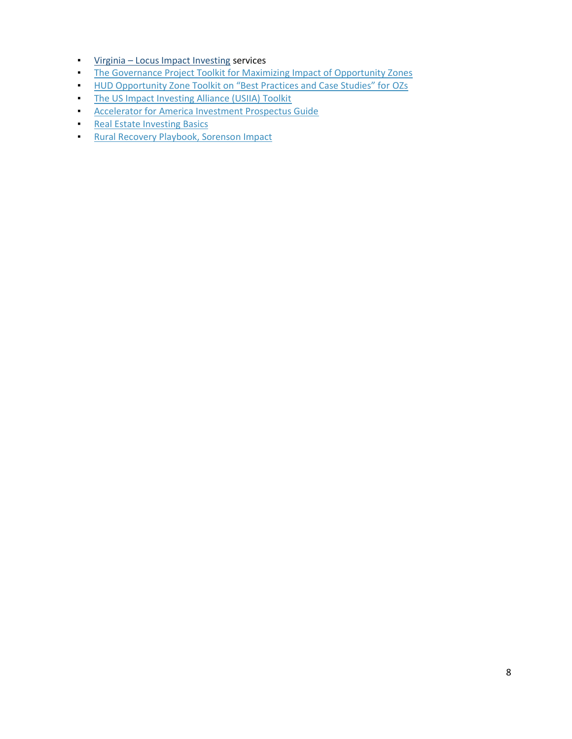- **·** Virginia [Locus Impact Investing](https://locusimpactinvesting.org/what-we-do/opportunity-zones.html) services
- **EXECTE THE GOVERTANCE Project Toolkit for Maximizing Impact of Opportunity Zones**
- **[HUD Opportunity Zone Toolkit on "Best Practices and Case Studies" for](https://opportunityzones.hud.gov/sites/opportunityzones.hud.gov/files/documents/Opportunity_Zones_Phase2_Community_Toolkit.pdf) OZs**
- **[The US Impact Investing Alliance \(USIIA\) Toolkit](https://ozframework.org/)**
- **[Accelerator for America Investment Prospectus Guide](https://static1.squarespace.com/static/5d9f9365f67b454b1ce2dc2f/t/5e38ae218a999b24d895fe2e/1580772908835/New+AFA+Prospectus+Guide.pdf)**
- **[Real Estate Investing Basics](https://gowercrowd.com/real-estate-investing/basics)**
- **[Rural Recovery Playbook, Sorenson Impact](https://b7a6ac6b-54a8-4557-b870-03892fd34732.usrfiles.com/ugd/b7a6ac_536dcd4f21f447b0b3c3a4196b73439b.pdf)**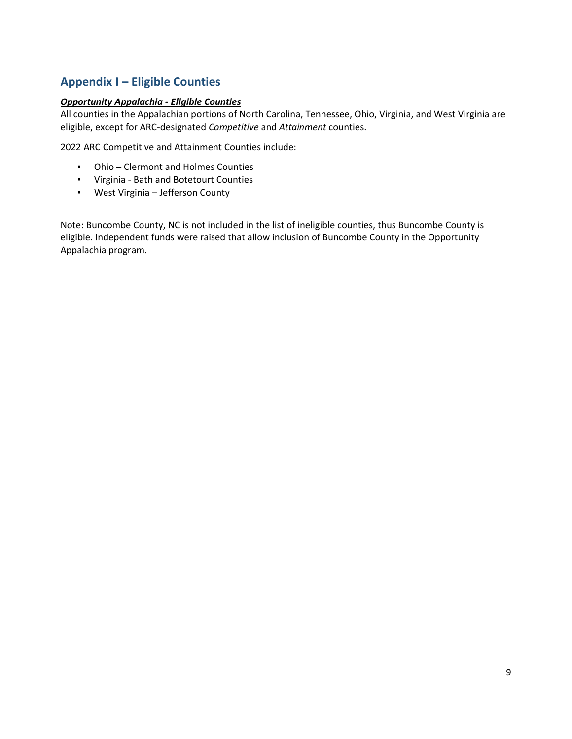## <span id="page-8-0"></span>**Appendix I – Eligible Counties**

#### *Opportunity Appalachia - Eligible Counties*

All counties in the Appalachian portions of North Carolina, Tennessee, Ohio, Virginia, and West Virginia are eligible, except for ARC-designated *Competitive* and *Attainment* counties.

2022 ARC Competitive and Attainment Counties include:

- Ohio Clermont and Holmes Counties
- Virginia Bath and Botetourt Counties
- West Virginia Jefferson County

Note: Buncombe County, NC is not included in the list of ineligible counties, thus Buncombe County is eligible. Independent funds were raised that allow inclusion of Buncombe County in the Opportunity Appalachia program.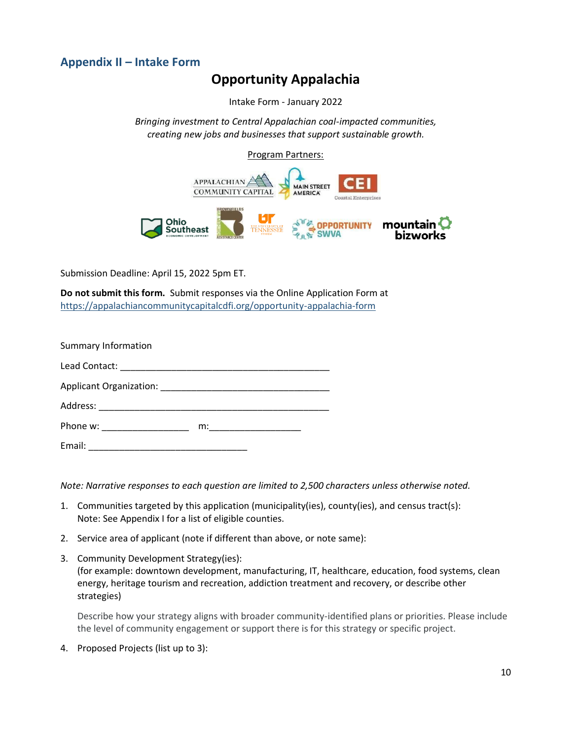## <span id="page-9-0"></span>**Appendix II – Intake Form**

# **Opportunity Appalachia**

Intake Form - January 2022

*Bringing investment to Central Appalachian coal-impacted communities, creating new jobs and businesses that support sustainable growth.*

Program Partners:



Submission Deadline: April 15, 2022 5pm ET.

**Do not submit this form.** Submit responses via the Online Application Form at <https://appalachiancommunitycapitalcdfi.org/opportunity-appalachia-form>

| <b>Summary Information</b> |  |
|----------------------------|--|
|                            |  |
|                            |  |
|                            |  |
| Phone w:                   |  |
|                            |  |

*Note: Narrative responses to each question are limited to 2,500 characters unless otherwise noted.*

- 1. Communities targeted by this application (municipality(ies), county(ies), and census tract(s): Note: See Appendix I for a list of eligible counties.
- 2. Service area of applicant (note if different than above, or note same):
- 3. Community Development Strategy(ies): (for example: downtown development, manufacturing, IT, healthcare, education, food systems, clean

energy, heritage tourism and recreation, addiction treatment and recovery, or describe other strategies)

Describe how your strategy aligns with broader community-identified plans or priorities. Please include the level of community engagement or support there is for this strategy or specific project.

4. Proposed Projects (list up to 3):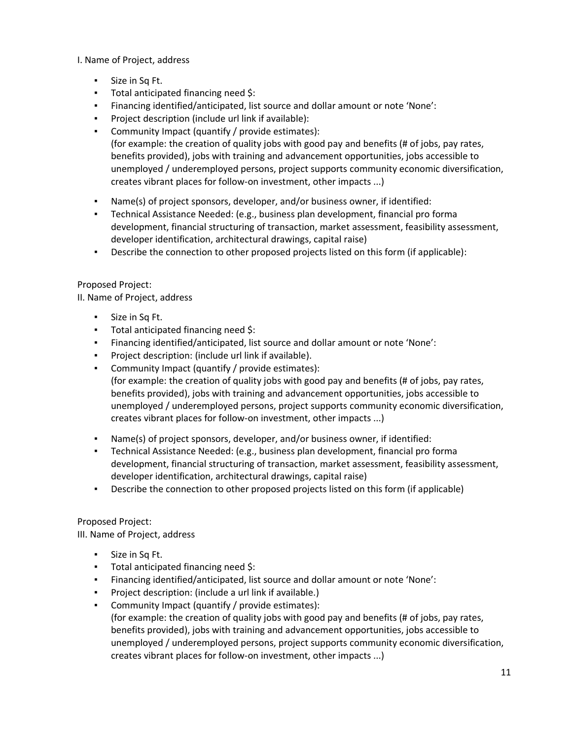#### I. Name of Project, address

- Size in Sq Ft.
- Total anticipated financing need \$:
- Financing identified/anticipated, list source and dollar amount or note 'None':
- Project description (include url link if available):
- Community Impact (quantify / provide estimates): (for example: the creation of quality jobs with good pay and benefits (# of jobs, pay rates, benefits provided), jobs with training and advancement opportunities, jobs accessible to unemployed / underemployed persons, project supports community economic diversification, creates vibrant places for follow-on investment, other impacts ...)
- Name(s) of project sponsors, developer, and/or business owner, if identified:
- Technical Assistance Needed: (e.g., business plan development, financial pro forma development, financial structuring of transaction, market assessment, feasibility assessment, developer identification, architectural drawings, capital raise)
- Describe the connection to other proposed projects listed on this form (if applicable):

#### Proposed Project:

II. Name of Project, address

- Size in Sq Ft.
- Total anticipated financing need \$:
- Financing identified/anticipated, list source and dollar amount or note 'None':
- Project description: (include url link if available).
- Community Impact (quantify / provide estimates): (for example: the creation of quality jobs with good pay and benefits (# of jobs, pay rates, benefits provided), jobs with training and advancement opportunities, jobs accessible to unemployed / underemployed persons, project supports community economic diversification, creates vibrant places for follow-on investment, other impacts ...)
- Name(s) of project sponsors, developer, and/or business owner, if identified:
- Technical Assistance Needed: (e.g., business plan development, financial pro forma development, financial structuring of transaction, market assessment, feasibility assessment, developer identification, architectural drawings, capital raise)
- Describe the connection to other proposed projects listed on this form (if applicable)

Proposed Project:

III. Name of Project, address

- Size in Sq Ft.
- Total anticipated financing need \$:
- Financing identified/anticipated, list source and dollar amount or note 'None':
- Project description: (include a url link if available.)
- Community Impact (quantify / provide estimates): (for example: the creation of quality jobs with good pay and benefits (# of jobs, pay rates, benefits provided), jobs with training and advancement opportunities, jobs accessible to unemployed / underemployed persons, project supports community economic diversification, creates vibrant places for follow-on investment, other impacts ...)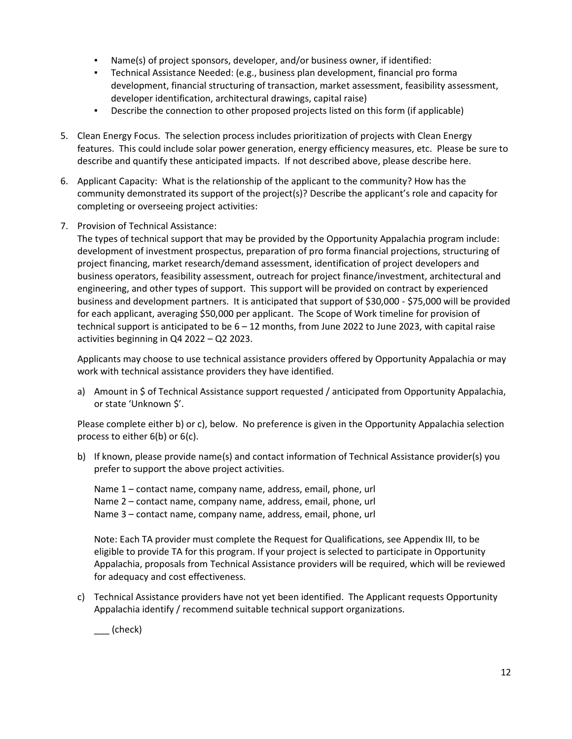- Name(s) of project sponsors, developer, and/or business owner, if identified:
- Technical Assistance Needed: (e.g., business plan development, financial pro forma development, financial structuring of transaction, market assessment, feasibility assessment, developer identification, architectural drawings, capital raise)
- Describe the connection to other proposed projects listed on this form (if applicable)
- 5. Clean Energy Focus. The selection process includes prioritization of projects with Clean Energy features. This could include solar power generation, energy efficiency measures, etc. Please be sure to describe and quantify these anticipated impacts. If not described above, please describe here.
- 6. Applicant Capacity: What is the relationship of the applicant to the community? How has the community demonstrated its support of the project(s)? Describe the applicant's role and capacity for completing or overseeing project activities:
- 7. Provision of Technical Assistance:

The types of technical support that may be provided by the Opportunity Appalachia program include: development of investment prospectus, preparation of pro forma financial projections, structuring of project financing, market research/demand assessment, identification of project developers and business operators, feasibility assessment, outreach for project finance/investment, architectural and engineering, and other types of support. This support will be provided on contract by experienced business and development partners. It is anticipated that support of \$30,000 - \$75,000 will be provided for each applicant, averaging \$50,000 per applicant. The Scope of Work timeline for provision of technical support is anticipated to be 6 – 12 months, from June 2022 to June 2023, with capital raise activities beginning in Q4 2022 – Q2 2023.

Applicants may choose to use technical assistance providers offered by Opportunity Appalachia or may work with technical assistance providers they have identified.

a) Amount in \$ of Technical Assistance support requested / anticipated from Opportunity Appalachia, or state 'Unknown \$'.

Please complete either b) or c), below. No preference is given in the Opportunity Appalachia selection process to either 6(b) or 6(c).

b) If known, please provide name(s) and contact information of Technical Assistance provider(s) you prefer to support the above project activities.

Name 1 – contact name, company name, address, email, phone, url Name 2 – contact name, company name, address, email, phone, url Name 3 – contact name, company name, address, email, phone, url

Note: Each TA provider must complete the Request for Qualifications, see Appendix III, to be eligible to provide TA for this program. If your project is selected to participate in Opportunity Appalachia, proposals from Technical Assistance providers will be required, which will be reviewed for adequacy and cost effectiveness.

c) Technical Assistance providers have not yet been identified. The Applicant requests Opportunity Appalachia identify / recommend suitable technical support organizations.

 $\qquad$  (check)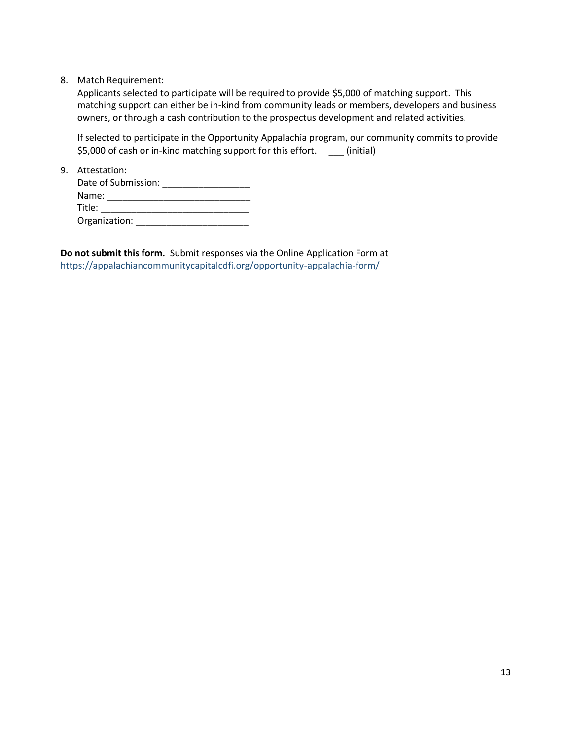8. Match Requirement:

Applicants selected to participate will be required to provide \$5,000 of matching support. This matching support can either be in-kind from community leads or members, developers and business owners, or through a cash contribution to the prospectus development and related activities.

If selected to participate in the Opportunity Appalachia program, our community commits to provide \$5,000 of cash or in-kind matching support for this effort. \_\_\_ (initial)

9. Attestation:

| Date of Submission: |  |
|---------------------|--|
| Name:               |  |
| Title:              |  |
| Organization:       |  |

**Do not submit this form.** Submit responses via the Online Application Form at <https://appalachiancommunitycapitalcdfi.org/opportunity-appalachia-form/>